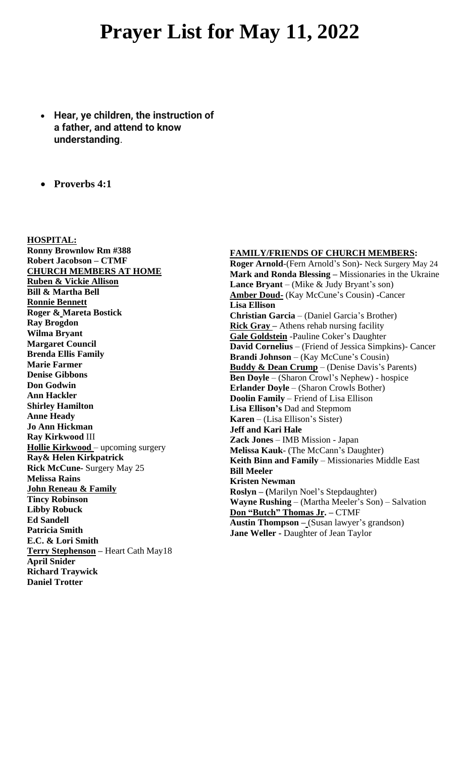# **Prayer List for May 11, 2022**

- **Hear, ye children, the instruction of a father, and attend to know understanding**.
- **Proverbs 4:1**

**HOSPITAL: Ronny Brownlow Rm #388 Robert Jacobson – CTMF CHURCH MEMBERS AT HOME Ruben & Vickie Allison Bill & Martha Bell Ronnie Bennett Roger & Mareta Bostick Ray Brogdon Wilma Bryant Margaret Council Brenda Ellis Family Marie Farmer Denise Gibbons Don Godwin Ann Hackler Shirley Hamilton Anne Heady Jo Ann Hickman Ray Kirkwood** III **Hollie Kirkwood** – upcoming surgery **Ray& Helen Kirkpatrick Rick McCune-** Surgery May 25 **Melissa Rains John Reneau & Family Tincy Robinson Libby Robuck Ed Sandell Patricia Smith E.C. & Lori Smith Terry Stephenson –** Heart Cath May18 **April Snider Richard Traywick Daniel Trotter**

## **FAMILY/FRIENDS OF CHURCH MEMBERS:**

**Roger Arnold**-(Fern Arnold's Son)- Neck Surgery May 24 **Mark and Ronda Blessing –** Missionaries in the Ukraine **Lance Bryant** – (Mike & Judy Bryant's son) **Amber Doud-** (Kay McCune's Cousin) **-**Cancer **Lisa Ellison Christian Garcia** – (Daniel Garcia's Brother) **Rick Gray** – Athens rehab nursing facility **Gale Goldstein** -Pauline Coker's Daughter **David Cornelius** – (Friend of Jessica Simpkins)- Cancer **Brandi Johnson** – (Kay McCune's Cousin) **Buddy & Dean Crump** – (Denise Davis's Parents) **Ben Doyle** – (Sharon Crowl's Nephew) - hospice **Erlander Doyle** – (Sharon Crowls Bother) **Doolin Family** – Friend of Lisa Ellison **Lisa Ellison's** Dad and Stepmom **Karen** – (Lisa Ellison's Sister) **Jeff and Kari Hale Zack Jones** – IMB Mission - Japan **Melissa Kauk**- (The McCann's Daughter) **Keith Binn and Family** – Missionaries Middle East **Bill Meeler Kristen Newman Roslyn – (**Marilyn Noel's Stepdaughter) **Wayne Rushing** – (Martha Meeler's Son) – Salvation **Don "Butch" Thomas Jr. –** CTMF **Austin Thompson –** (Susan lawyer's grandson) **Jane Weller -** Daughter of Jean Taylor